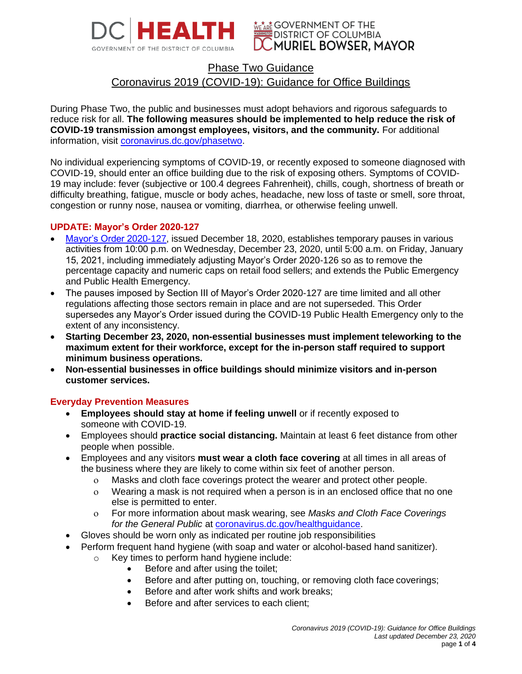



# Phase Two Guidance Coronavirus 2019 (COVID-19): Guidance for Office Buildings

During Phase Two, the public and businesses must adopt behaviors and rigorous safeguards to reduce risk for all. **The following measures should be implemented to help reduce the risk of COVID-19 transmission amongst employees, visitors, and the community.** For additional information, visit [coronavirus.dc.gov/phasetwo.](https://coronavirus.dc.gov/phasetwo)

No individual experiencing symptoms of COVID-19, or recently exposed to someone diagnosed with COVID-19, should enter an office building due to the risk of exposing others. Symptoms of COVID-19 may include: fever (subjective or 100.4 degrees Fahrenheit), chills, cough, shortness of breath or difficulty breathing, fatigue, muscle or body aches, headache, new loss of taste or smell, sore throat, congestion or runny nose, nausea or vomiting, diarrhea, or otherwise feeling unwell.

## **UPDATE: Mayor's Order 2020-127**

- [Mayor's Order 2020-127,](https://coronavirus.dc.gov/phasetwo) issued December 18, 2020, establishes temporary pauses in various activities from 10:00 p.m. on Wednesday, December 23, 2020, until 5:00 a.m. on Friday, January 15, 2021, including immediately adjusting Mayor's Order 2020-126 so as to remove the percentage capacity and numeric caps on retail food sellers; and extends the Public Emergency and Public Health Emergency.
- The pauses imposed by Section III of Mayor's Order 2020-127 are time limited and all other regulations affecting those sectors remain in place and are not superseded. This Order supersedes any Mayor's Order issued during the COVID-19 Public Health Emergency only to the extent of any inconsistency.
- **Starting December 23, 2020, non-essential businesses must implement teleworking to the maximum extent for their workforce, except for the in-person staff required to support minimum business operations.**
- **Non-essential businesses in office buildings should minimize visitors and in-person customer services.**

## **Everyday Prevention Measures**

- **Employees should stay at home if feeling unwell** or if recently exposed to someone with COVID-19.
- Employees should **practice social distancing.** Maintain at least 6 feet distance from other people when possible.
- Employees and any visitors **must wear a cloth face covering** at all times in all areas of the business where they are likely to come within six feet of another person.
	- Masks and cloth face coverings protect the wearer and protect other people.
	- Wearing a mask is not required when a person is in an enclosed office that no one else is permitted to enter.
	- For more information about mask wearing, see *Masks and Cloth Face Coverings*  for the General Public at [coronavirus.dc.gov/healthguidance.](file:///C:/Users/sommersk/Desktop/guidances%20updated%20from%20MO%20121820/coronavirus.dc.gov/healthguidance)
- Gloves should be worn only as indicated per routine job responsibilities
- Perform frequent hand hygiene (with soap and water or alcohol-based hand sanitizer).
	- o Key times to perform hand hygiene include:
		- Before and after using the toilet;
		- Before and after putting on, touching, or removing cloth face coverings;
		- Before and after work shifts and work breaks;
		- Before and after services to each client;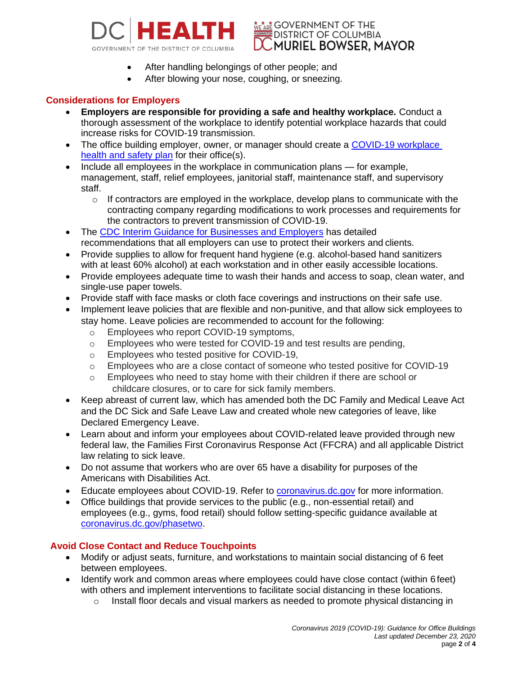



- After handling belongings of other people; and
- After blowing your nose, coughing, or sneezing.

## **Considerations for Employers**

- **Employers are responsible for providing a safe and healthy workplace.** Conduct a thorough assessment of the workplace to identify potential workplace hazards that could increase risks for COVID-19 transmission.
- The office building employer, owner, or manager should create a [COVID-19 workplace](https://www.cdc.gov/coronavirus/2019-ncov/community/guidance-business-response.html) [health and safety plan](https://www.cdc.gov/coronavirus/2019-ncov/community/guidance-business-response.html) for their office(s).
- Include all employees in the workplace in communication plans for example, management, staff, relief employees, janitorial staff, maintenance staff, and supervisory staff.
	- $\circ$  If contractors are employed in the workplace, develop plans to communicate with the contracting company regarding modifications to work processes and requirements for the contractors to prevent transmission of COVID-19.
- The [CDC Interim Guidance for Businesses and Employers](https://www.cdc.gov/coronavirus/2019-ncov/community/guidance-business-response.html) has detailed recommendations that all employers can use to protect their workers and clients.
- Provide supplies to allow for frequent hand hygiene (e.g. alcohol-based hand sanitizers with at least 60% alcohol) at each workstation and in other easily accessible locations.
- Provide employees adequate time to wash their hands and access to soap, clean water, and single-use paper towels.
- Provide staff with face masks or cloth face coverings and instructions on their safe use.
- Implement leave policies that are flexible and non-punitive, and that allow sick employees to stay home. Leave policies are recommended to account for the following:
	- o Employees who report COVID-19 symptoms,
	- o Employees who were tested for COVID-19 and test results are pending,
	- o Employees who tested positive for COVID-19,
	- o Employees who are a close contact of someone who tested positive for COVID-19
	- o Employees who need to stay home with their children if there are school or childcare closures, or to care for sick family members.
- Keep abreast of current law, which has amended both the DC Family and Medical Leave Act and the DC Sick and Safe Leave Law and created whole new categories of leave, like Declared Emergency Leave.
- Learn about and inform your employees about COVID-related leave provided through new federal law, the Families First Coronavirus Response Act (FFCRA) and all applicable District law relating to sick leave.
- Do not assume that workers who are over 65 have a disability for purposes of the Americans with Disabilities Act.
- Educate employees about COVID-19. Refer to [coronavirus.dc.gov](http://www.coronavirus.dc.gov/) for more information.
- Office buildings that provide services to the public (e.g., non-essential retail) and employees (e.g., gyms, food retail) should follow setting-specific guidance available at [coronavirus.dc.gov/phasetwo.](https://coronavirus.dc.gov/phasetwo)

## **Avoid Close Contact and Reduce Touchpoints**

- Modify or adjust seats, furniture, and workstations to maintain social distancing of 6 feet between employees.
- Identify work and common areas where employees could have close contact (within 6 feet) with others and implement interventions to facilitate social distancing in these locations.
	- $\circ$  Install floor decals and visual markers as needed to promote physical distancing in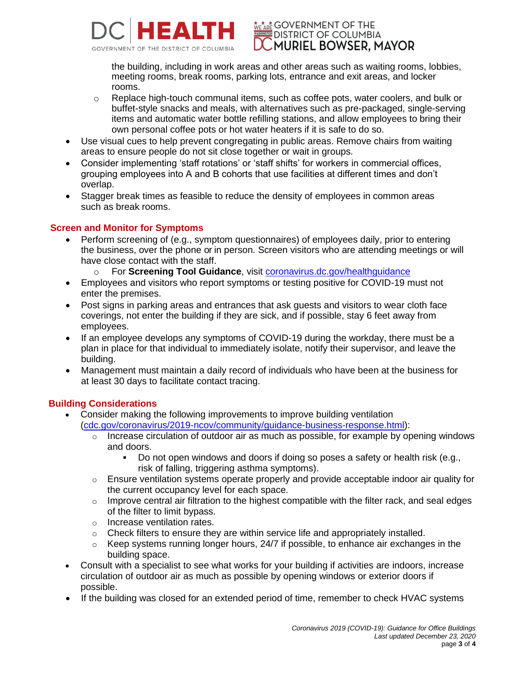

**WE ARE GOVERNMENT OF THE DISTRICT OF COLUMBIA** MURIEL BOWSER. MAYOR \

the building, including in work areas and other areas such as waiting rooms, lobbies, meeting rooms, break rooms, parking lots, entrance and exit areas, and locker rooms.

- o Replace high-touch communal items, such as coffee pots, water coolers, and bulk or buffet-style snacks and meals, with alternatives such as pre-packaged, single-serving items and automatic water bottle refilling stations, and allow employees to bring their own personal coffee pots or hot water heaters if it is safe to do so.
- Use visual cues to help prevent congregating in public areas. Remove chairs from waiting areas to ensure people do not sit close together or wait in groups.
- Consider implementing 'staff rotations' or 'staff shifts' for workers in commercial offices, grouping employees into A and B cohorts that use facilities at different times and don't overlap.
- Stagger break times as feasible to reduce the density of employees in common areas such as break rooms.

## **Screen and Monitor for Symptoms**

- Perform screening of (e.g., symptom questionnaires) of employees daily, prior to entering the business, over the phone or in person. Screen visitors who are attending meetings or will have close contact with the staff.
	- o For **Screening Tool Guidance**, visit [coronavirus.dc.gov/healthguidance](https://coronavirus.dc.gov/healthguidance)
- Employees and visitors who report symptoms or testing positive for COVID-19 must not enter the premises.
- Post signs in parking areas and entrances that ask guests and visitors to wear cloth face coverings, not enter the building if they are sick, and if possible, stay 6 feet away from employees.
- If an employee develops any symptoms of COVID-19 during the workday, there must be a plan in place for that individual to immediately isolate, notify their supervisor, and leave the building.
- Management must maintain a daily record of individuals who have been at the business for at least 30 days to facilitate contact tracing.

## **Building Considerations**

- Consider making the following improvements to improve building ventilation [\(cdc.gov/coronavirus/2019-ncov/community/guidance-business-response.html\)](https://www.cdc.gov/coronavirus/2019-ncov/community/guidance-business-response.html):
	- $\circ$  Increase circulation of outdoor air as much as possible, for example by opening windows and doors.
		- Do not open windows and doors if doing so poses a safety or health risk (e.g., risk of falling, triggering asthma symptoms).
	- $\circ$  Ensure ventilation systems operate properly and provide acceptable indoor air quality for the current occupancy level for each space.
	- $\circ$  Improve central air filtration to the highest compatible with the filter rack, and seal edges of the filter to limit bypass.
	- o Increase ventilation rates.
	- $\circ$  Check filters to ensure they are within service life and appropriately installed.
	- $\circ$  Keep systems running longer hours, 24/7 if possible, to enhance air exchanges in the building space.
- Consult with a specialist to see what works for your building if activities are indoors, increase circulation of outdoor air as much as possible by opening windows or exterior doors if possible.
- If the building was closed for an extended period of time, remember to check HVAC systems